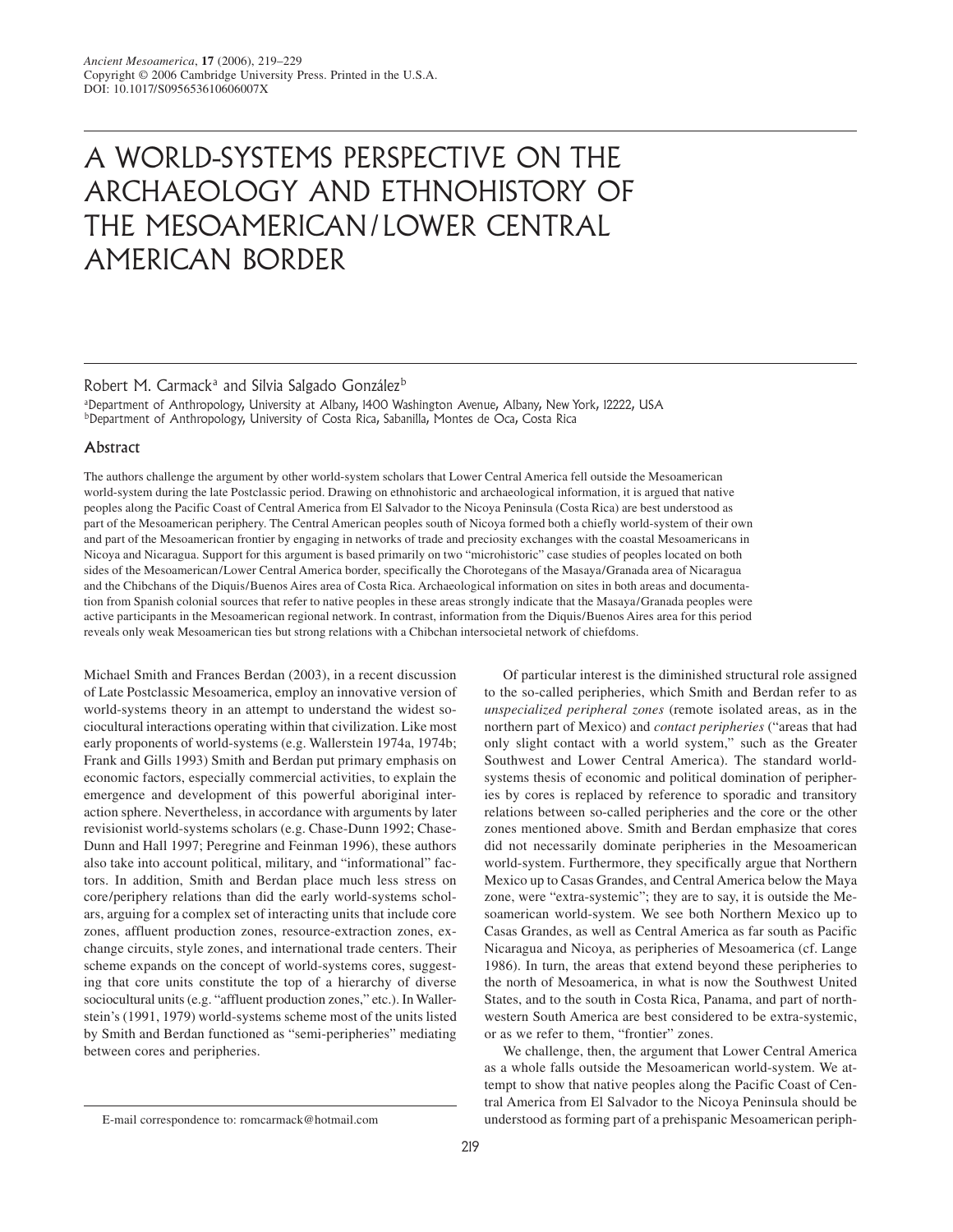# A WORLD-SYSTEMS PERSPECTIVE ON THE ARCHAEOLOGY AND ETHNOHISTORY OF THE MESOAMERICAN/LOWER CENTRAL AMERICAN BORDER

# Robert M. Carmack<sup>a</sup> and Silvia Salgado González<sup>b</sup>

a Department of Anthropology, University at Albany, 1400 Washington Avenue, Albany, New York, 12222, USA bDepartment of Anthropology, University of Costa Rica, Sabanilla, Montes de Oca, Costa Rica

# Abstract

The authors challenge the argument by other world-system scholars that Lower Central America fell outside the Mesoamerican world-system during the late Postclassic period. Drawing on ethnohistoric and archaeological information, it is argued that native peoples along the Pacific Coast of Central America from El Salvador to the Nicoya Peninsula (Costa Rica) are best understood as part of the Mesoamerican periphery. The Central American peoples south of Nicoya formed both a chiefly world-system of their own and part of the Mesoamerican frontier by engaging in networks of trade and preciosity exchanges with the coastal Mesoamericans in Nicoya and Nicaragua. Support for this argument is based primarily on two "microhistoric" case studies of peoples located on both sides of the Mesoamerican/Lower Central America border, specifically the Chorotegans of the Masaya/Granada area of Nicaragua and the Chibchans of the Diquis/Buenos Aires area of Costa Rica. Archaeological information on sites in both areas and documentation from Spanish colonial sources that refer to native peoples in these areas strongly indicate that the Masaya/Granada peoples were active participants in the Mesoamerican regional network. In contrast, information from the Diquis/Buenos Aires area for this period reveals only weak Mesoamerican ties but strong relations with a Chibchan intersocietal network of chiefdoms.

Michael Smith and Frances Berdan (2003), in a recent discussion of Late Postclassic Mesoamerica, employ an innovative version of world-systems theory in an attempt to understand the widest sociocultural interactions operating within that civilization. Like most early proponents of world-systems (e.g. Wallerstein 1974a, 1974b; Frank and Gills 1993) Smith and Berdan put primary emphasis on economic factors, especially commercial activities, to explain the emergence and development of this powerful aboriginal interaction sphere. Nevertheless, in accordance with arguments by later revisionist world-systems scholars (e.g. Chase-Dunn 1992; Chase-Dunn and Hall 1997; Peregrine and Feinman 1996), these authors also take into account political, military, and "informational" factors. In addition, Smith and Berdan place much less stress on core/periphery relations than did the early world-systems scholars, arguing for a complex set of interacting units that include core zones, affluent production zones, resource-extraction zones, exchange circuits, style zones, and international trade centers. Their scheme expands on the concept of world-systems cores, suggesting that core units constitute the top of a hierarchy of diverse sociocultural units (e.g. "affluent production zones," etc.). In Wallerstein's (1991, 1979) world-systems scheme most of the units listed by Smith and Berdan functioned as "semi-peripheries" mediating between cores and peripheries.

Of particular interest is the diminished structural role assigned to the so-called peripheries, which Smith and Berdan refer to as *unspecialized peripheral zones* (remote isolated areas, as in the northern part of Mexico) and *contact peripheries* ("areas that had only slight contact with a world system," such as the Greater Southwest and Lower Central America). The standard worldsystems thesis of economic and political domination of peripheries by cores is replaced by reference to sporadic and transitory relations between so-called peripheries and the core or the other zones mentioned above. Smith and Berdan emphasize that cores did not necessarily dominate peripheries in the Mesoamerican world-system. Furthermore, they specifically argue that Northern Mexico up to Casas Grandes, and Central America below the Maya zone, were "extra-systemic"; they are to say, it is outside the Mesoamerican world-system. We see both Northern Mexico up to Casas Grandes, as well as Central America as far south as Pacific Nicaragua and Nicoya, as peripheries of Mesoamerica (cf. Lange 1986). In turn, the areas that extend beyond these peripheries to the north of Mesoamerica, in what is now the Southwest United States, and to the south in Costa Rica, Panama, and part of northwestern South America are best considered to be extra-systemic, or as we refer to them, "frontier" zones.

We challenge, then, the argument that Lower Central America as a whole falls outside the Mesoamerican world-system. We attempt to show that native peoples along the Pacific Coast of Central America from El Salvador to the Nicoya Peninsula should be E-mail correspondence to: romcarmack@hotmail.com understood as forming part of a prehispanic Mesoamerican periph-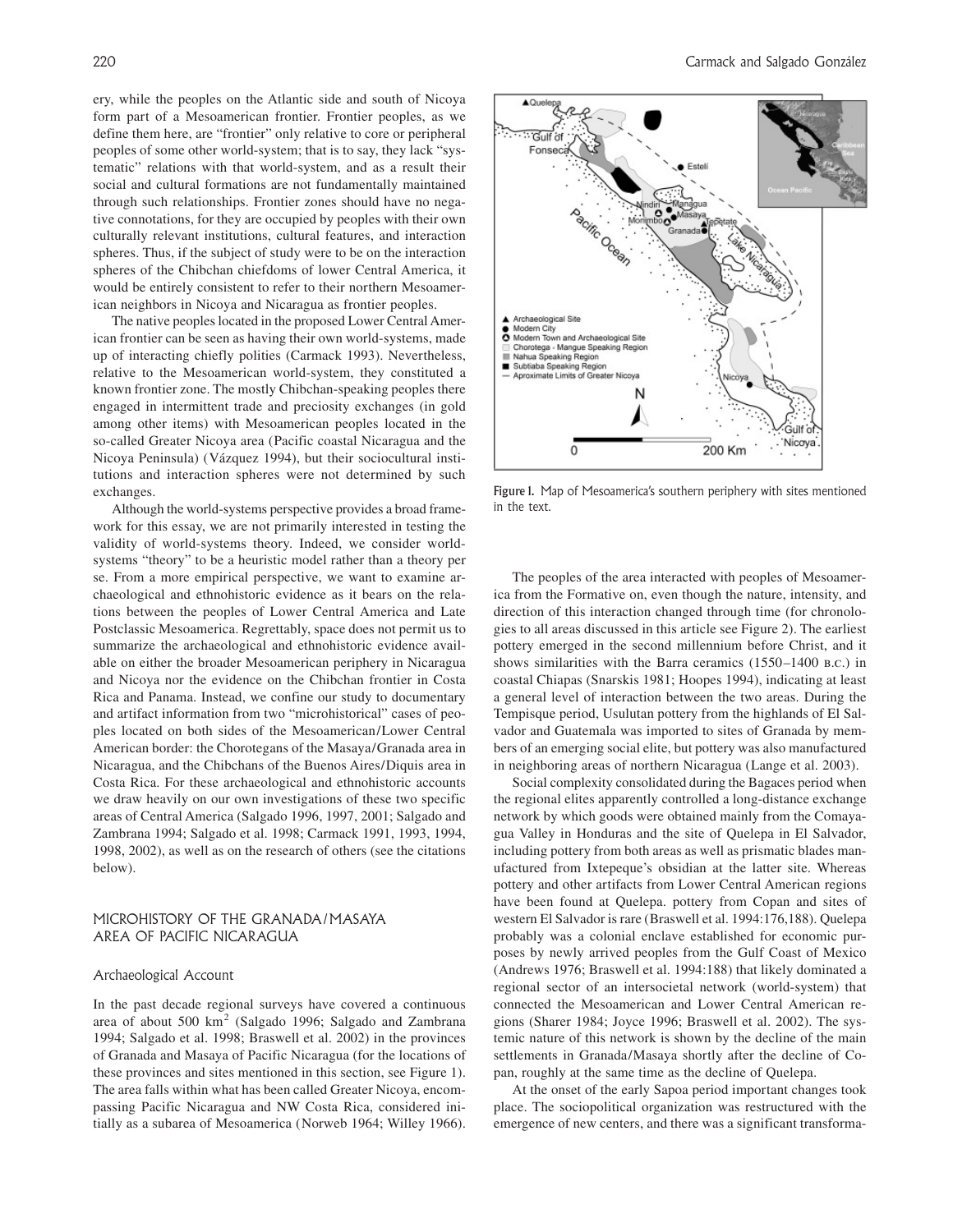ery, while the peoples on the Atlantic side and south of Nicoya form part of a Mesoamerican frontier. Frontier peoples, as we define them here, are "frontier" only relative to core or peripheral peoples of some other world-system; that is to say, they lack "systematic" relations with that world-system, and as a result their social and cultural formations are not fundamentally maintained through such relationships. Frontier zones should have no negative connotations, for they are occupied by peoples with their own culturally relevant institutions, cultural features, and interaction spheres. Thus, if the subject of study were to be on the interaction spheres of the Chibchan chiefdoms of lower Central America, it would be entirely consistent to refer to their northern Mesoamerican neighbors in Nicoya and Nicaragua as frontier peoples.

The native peoples located in the proposed Lower Central American frontier can be seen as having their own world-systems, made up of interacting chiefly polities (Carmack 1993). Nevertheless, relative to the Mesoamerican world-system, they constituted a known frontier zone. The mostly Chibchan-speaking peoples there engaged in intermittent trade and preciosity exchanges (in gold among other items) with Mesoamerican peoples located in the so-called Greater Nicoya area (Pacific coastal Nicaragua and the Nicoya Peninsula) (Vázquez 1994), but their sociocultural institutions and interaction spheres were not determined by such exchanges.

Although the world-systems perspective provides a broad framework for this essay, we are not primarily interested in testing the validity of world-systems theory. Indeed, we consider worldsystems "theory" to be a heuristic model rather than a theory per se. From a more empirical perspective, we want to examine archaeological and ethnohistoric evidence as it bears on the relations between the peoples of Lower Central America and Late Postclassic Mesoamerica. Regrettably, space does not permit us to summarize the archaeological and ethnohistoric evidence available on either the broader Mesoamerican periphery in Nicaragua and Nicoya nor the evidence on the Chibchan frontier in Costa Rica and Panama. Instead, we confine our study to documentary and artifact information from two "microhistorical" cases of peoples located on both sides of the Mesoamerican/Lower Central American border: the Chorotegans of the Masaya/Granada area in Nicaragua, and the Chibchans of the Buenos Aires/Diquis area in Costa Rica. For these archaeological and ethnohistoric accounts we draw heavily on our own investigations of these two specific areas of Central America (Salgado 1996, 1997, 2001; Salgado and Zambrana 1994; Salgado et al. 1998; Carmack 1991, 1993, 1994, 1998, 2002), as well as on the research of others (see the citations below).

# MICROHISTORY OF THE GRANADA/MASAYA AREA OF PACIFIC NICARAGUA

#### Archaeological Account

In the past decade regional surveys have covered a continuous area of about 500 km<sup>2</sup> (Salgado 1996; Salgado and Zambrana 1994; Salgado et al. 1998; Braswell et al. 2002) in the provinces of Granada and Masaya of Pacific Nicaragua (for the locations of these provinces and sites mentioned in this section, see Figure 1). The area falls within what has been called Greater Nicoya, encompassing Pacific Nicaragua and NW Costa Rica, considered initially as a subarea of Mesoamerica (Norweb 1964; Willey 1966).



Figure 1. Map of Mesoamerica's southern periphery with sites mentioned in the text.

The peoples of the area interacted with peoples of Mesoamerica from the Formative on, even though the nature, intensity, and direction of this interaction changed through time (for chronologies to all areas discussed in this article see Figure 2). The earliest pottery emerged in the second millennium before Christ, and it shows similarities with the Barra ceramics (1550–1400 b.c.) in coastal Chiapas (Snarskis 1981; Hoopes 1994), indicating at least a general level of interaction between the two areas. During the Tempisque period, Usulutan pottery from the highlands of El Salvador and Guatemala was imported to sites of Granada by members of an emerging social elite, but pottery was also manufactured in neighboring areas of northern Nicaragua (Lange et al. 2003).

Social complexity consolidated during the Bagaces period when the regional elites apparently controlled a long-distance exchange network by which goods were obtained mainly from the Comayagua Valley in Honduras and the site of Quelepa in El Salvador, including pottery from both areas as well as prismatic blades manufactured from Ixtepeque's obsidian at the latter site. Whereas pottery and other artifacts from Lower Central American regions have been found at Quelepa. pottery from Copan and sites of western El Salvador is rare (Braswell et al. 1994:176,188). Quelepa probably was a colonial enclave established for economic purposes by newly arrived peoples from the Gulf Coast of Mexico (Andrews 1976; Braswell et al. 1994:188) that likely dominated a regional sector of an intersocietal network (world-system) that connected the Mesoamerican and Lower Central American regions (Sharer 1984; Joyce 1996; Braswell et al. 2002). The systemic nature of this network is shown by the decline of the main settlements in Granada/Masaya shortly after the decline of Copan, roughly at the same time as the decline of Quelepa.

At the onset of the early Sapoa period important changes took place. The sociopolitical organization was restructured with the emergence of new centers, and there was a significant transforma-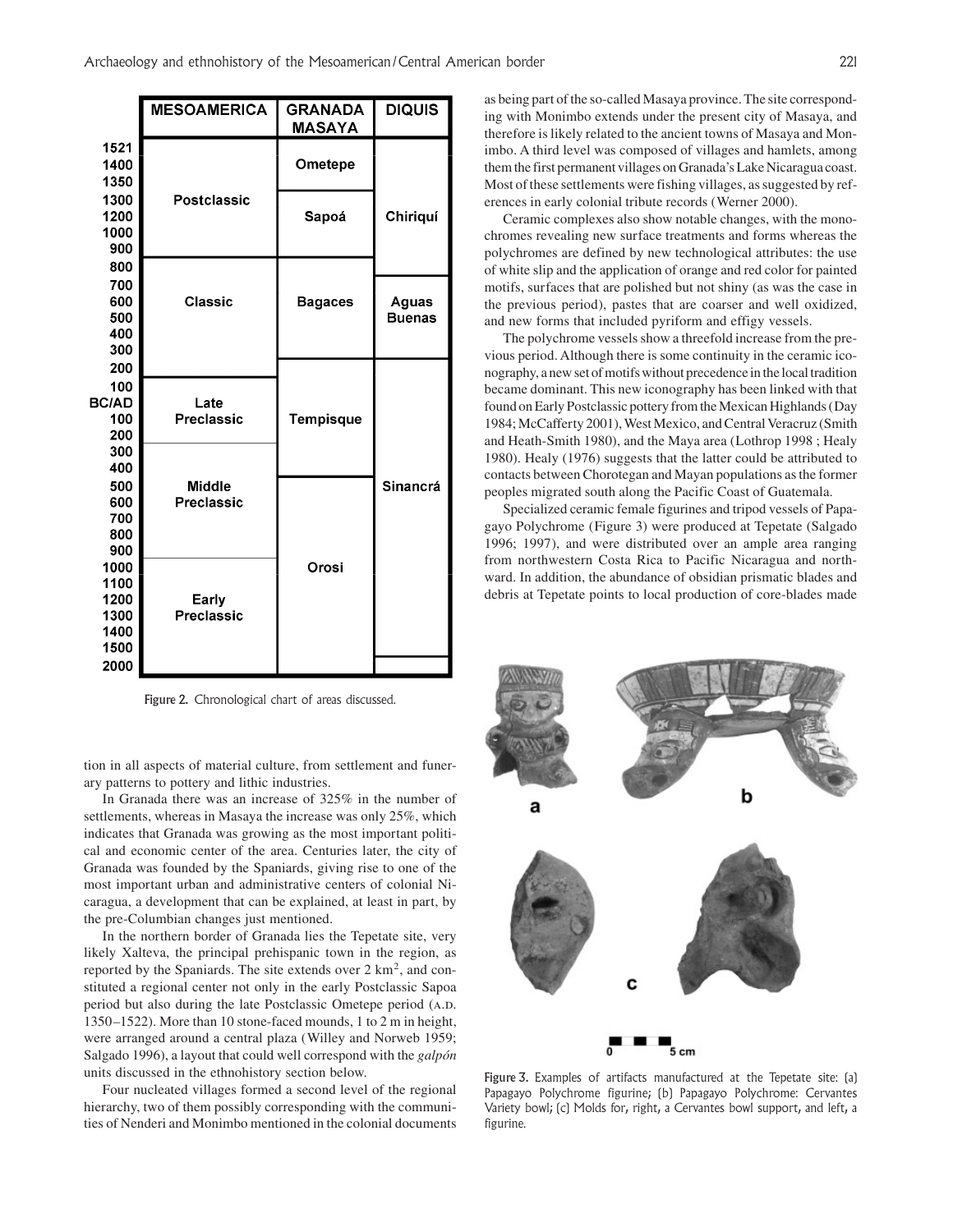|                                                      | <b>MESOAMERICA</b>                 | <b>GRANADA</b><br><b>MASAYA</b> | <b>DIQUIS</b>          |
|------------------------------------------------------|------------------------------------|---------------------------------|------------------------|
| 1521<br>1400<br>1350                                 |                                    | Ometepe                         |                        |
| 1300<br>1200<br>1000<br>900                          | <b>Postclassic</b>                 | Sapoá                           | Chiriquí               |
| 800<br>700<br>600<br>500<br>400<br>300               | Classic                            | <b>Bagaces</b>                  | Aguas<br><b>Buenas</b> |
| 200<br>100<br><b>BC/AD</b><br>100<br>200<br>300      | Late<br>Preclassic                 | <b>Tempisque</b>                |                        |
| 400<br>500<br>600<br>700<br>800<br>900               | <b>Middle</b><br><b>Preclassic</b> |                                 | Sinancrá               |
| 1000<br>1100<br>1200<br>1300<br>1400<br>1500<br>2000 | Early<br>Preclassic                | Orosi                           |                        |

Figure 2. Chronological chart of areas discussed.

tion in all aspects of material culture, from settlement and funerary patterns to pottery and lithic industries.

In Granada there was an increase of 325% in the number of settlements, whereas in Masaya the increase was only 25%, which indicates that Granada was growing as the most important political and economic center of the area. Centuries later, the city of Granada was founded by the Spaniards, giving rise to one of the most important urban and administrative centers of colonial Nicaragua, a development that can be explained, at least in part, by the pre-Columbian changes just mentioned.

In the northern border of Granada lies the Tepetate site, very likely Xalteva, the principal prehispanic town in the region, as reported by the Spaniards. The site extends over  $2 \text{ km}^2$ , and constituted a regional center not only in the early Postclassic Sapoa period but also during the late Postclassic Ometepe period (A.D. 1350–1522). More than 10 stone-faced mounds, 1 to 2 m in height, were arranged around a central plaza (Willey and Norweb 1959; Salgado 1996), a layout that could well correspond with the *galpón* units discussed in the ethnohistory section below.

Four nucleated villages formed a second level of the regional hierarchy, two of them possibly corresponding with the communities of Nenderi and Monimbo mentioned in the colonial documents as being part of the so-called Masaya province. The site corresponding with Monimbo extends under the present city of Masaya, and therefore is likely related to the ancient towns of Masaya and Monimbo. A third level was composed of villages and hamlets, among them the first permanent villages on Granada's Lake Nicaragua coast. Most of these settlements were fishing villages, as suggested by references in early colonial tribute records (Werner 2000).

Ceramic complexes also show notable changes, with the monochromes revealing new surface treatments and forms whereas the polychromes are defined by new technological attributes: the use of white slip and the application of orange and red color for painted motifs, surfaces that are polished but not shiny (as was the case in the previous period), pastes that are coarser and well oxidized, and new forms that included pyriform and effigy vessels.

The polychrome vessels show a threefold increase from the previous period. Although there is some continuity in the ceramic iconography, a new set of motifs without precedence in the local tradition became dominant. This new iconography has been linked with that found on Early Postclassic pottery from theMexican Highlands (Day 1984; McCafferty 2001), West Mexico, and Central Veracruz (Smith and Heath-Smith 1980), and the Maya area (Lothrop 1998 ; Healy 1980). Healy (1976) suggests that the latter could be attributed to contacts between Chorotegan and Mayan populations as the former peoples migrated south along the Pacific Coast of Guatemala.

Specialized ceramic female figurines and tripod vessels of Papagayo Polychrome (Figure 3) were produced at Tepetate (Salgado 1996; 1997), and were distributed over an ample area ranging from northwestern Costa Rica to Pacific Nicaragua and northward. In addition, the abundance of obsidian prismatic blades and debris at Tepetate points to local production of core-blades made



Figure 3. Examples of artifacts manufactured at the Tepetate site: (a) Papagayo Polychrome figurine; (b) Papagayo Polychrome: Cervantes Variety bowl; (c) Molds for, right, a Cervantes bowl support, and left, a figurine.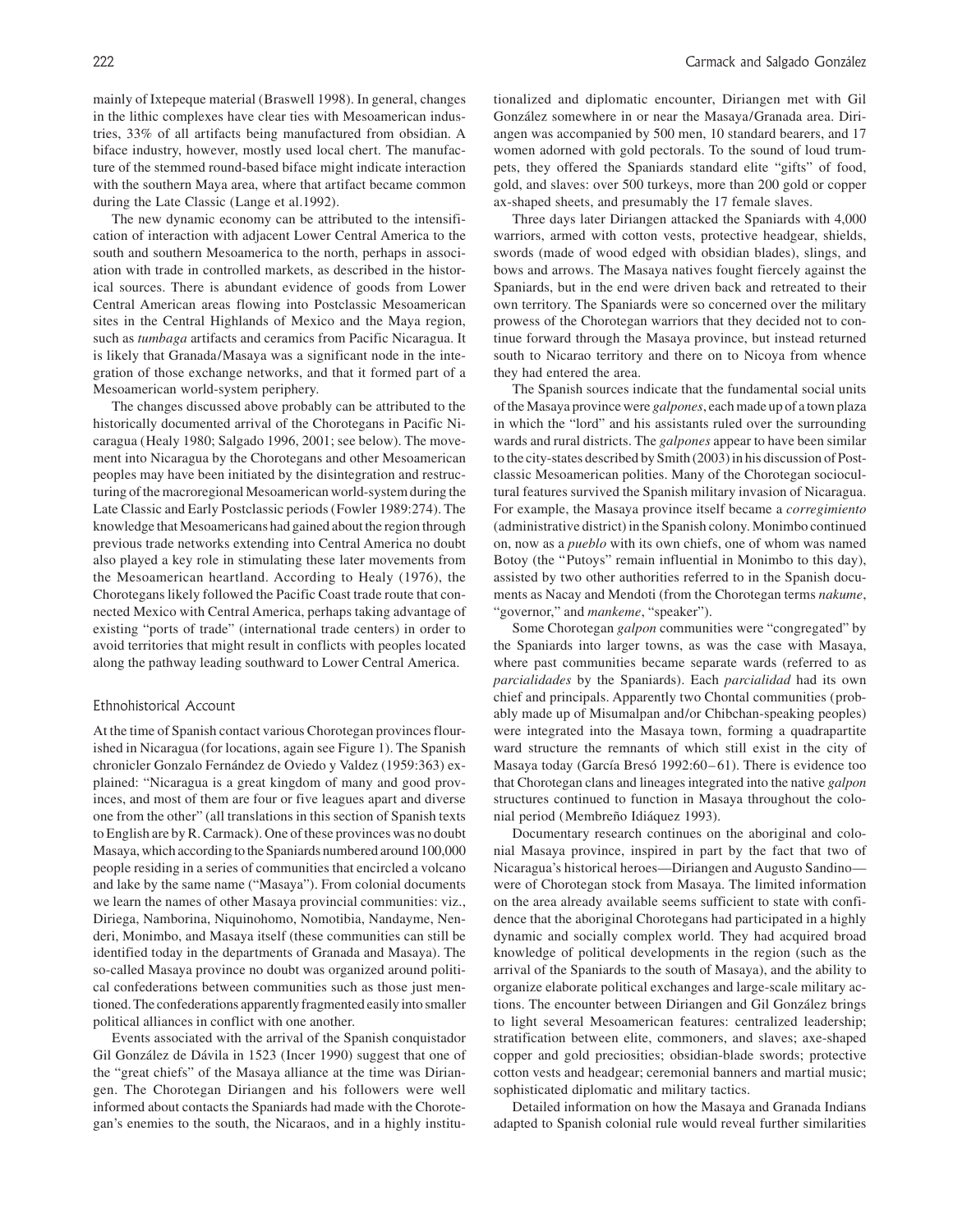during the Late Classic (Lange et al.1992).

The new dynamic economy can be attributed to the intensification of interaction with adjacent Lower Central America to the south and southern Mesoamerica to the north, perhaps in association with trade in controlled markets, as described in the historical sources. There is abundant evidence of goods from Lower Central American areas flowing into Postclassic Mesoamerican sites in the Central Highlands of Mexico and the Maya region, such as *tumbaga* artifacts and ceramics from Pacific Nicaragua. It is likely that Granada/Masaya was a significant node in the integration of those exchange networks, and that it formed part of a Mesoamerican world-system periphery.

The changes discussed above probably can be attributed to the historically documented arrival of the Chorotegans in Pacific Nicaragua (Healy 1980; Salgado 1996, 2001; see below). The movement into Nicaragua by the Chorotegans and other Mesoamerican peoples may have been initiated by the disintegration and restructuring of the macroregional Mesoamerican world-system during the Late Classic and Early Postclassic periods (Fowler 1989:274). The knowledge that Mesoamericans had gained about the region through previous trade networks extending into Central America no doubt also played a key role in stimulating these later movements from the Mesoamerican heartland. According to Healy (1976), the Chorotegans likely followed the Pacific Coast trade route that connected Mexico with Central America, perhaps taking advantage of existing "ports of trade" (international trade centers) in order to avoid territories that might result in conflicts with peoples located along the pathway leading southward to Lower Central America.

#### Ethnohistorical Account

At the time of Spanish contact various Chorotegan provinces flourished in Nicaragua (for locations, again see Figure 1). The Spanish chronicler Gonzalo Fernández de Oviedo y Valdez (1959:363) explained: "Nicaragua is a great kingdom of many and good provinces, and most of them are four or five leagues apart and diverse one from the other" (all translations in this section of Spanish texts to English are by R. Carmack). One of these provinces was no doubt Masaya, which according to the Spaniards numbered around 100,000 people residing in a series of communities that encircled a volcano and lake by the same name ("Masaya"). From colonial documents we learn the names of other Masaya provincial communities: viz., Diriega, Namborina, Niquinohomo, Nomotibia, Nandayme, Nenderi, Monimbo, and Masaya itself (these communities can still be identified today in the departments of Granada and Masaya). The so-called Masaya province no doubt was organized around political confederations between communities such as those just mentioned. The confederations apparently fragmented easily into smaller political alliances in conflict with one another.

Events associated with the arrival of the Spanish conquistador Gil González de Dávila in 1523 (Incer 1990) suggest that one of the "great chiefs" of the Masaya alliance at the time was Diriangen. The Chorotegan Diriangen and his followers were well informed about contacts the Spaniards had made with the Chorotegan's enemies to the south, the Nicaraos, and in a highly institutionalized and diplomatic encounter, Diriangen met with Gil González somewhere in or near the Masaya/Granada area. Diriangen was accompanied by 500 men, 10 standard bearers, and 17 women adorned with gold pectorals. To the sound of loud trumpets, they offered the Spaniards standard elite "gifts" of food, gold, and slaves: over 500 turkeys, more than 200 gold or copper ax-shaped sheets, and presumably the 17 female slaves.

Three days later Diriangen attacked the Spaniards with 4,000 warriors, armed with cotton vests, protective headgear, shields, swords (made of wood edged with obsidian blades), slings, and bows and arrows. The Masaya natives fought fiercely against the Spaniards, but in the end were driven back and retreated to their own territory. The Spaniards were so concerned over the military prowess of the Chorotegan warriors that they decided not to continue forward through the Masaya province, but instead returned south to Nicarao territory and there on to Nicoya from whence they had entered the area.

The Spanish sources indicate that the fundamental social units of theMasaya province were *galpones*, each made up of a town plaza in which the "lord" and his assistants ruled over the surrounding wards and rural districts. The *galpones* appear to have been similar to the city-states described by Smith (2003) in his discussion of Postclassic Mesoamerican polities. Many of the Chorotegan sociocultural features survived the Spanish military invasion of Nicaragua. For example, the Masaya province itself became a *corregimiento* (administrative district) in the Spanish colony. Monimbo continued on, now as a *pueblo* with its own chiefs, one of whom was named Botoy (the "Putoys" remain influential in Monimbo to this day), assisted by two other authorities referred to in the Spanish documents as Nacay and Mendoti (from the Chorotegan terms *nakume*, "governor," and *mankeme*, "speaker").

Some Chorotegan *galpon* communities were "congregated" by the Spaniards into larger towns, as was the case with Masaya, where past communities became separate wards (referred to as *parcialidades* by the Spaniards). Each *parcialidad* had its own chief and principals. Apparently two Chontal communities (probably made up of Misumalpan and/or Chibchan-speaking peoples) were integrated into the Masaya town, forming a quadrapartite ward structure the remnants of which still exist in the city of Masaya today (García Bresó 1992:60–61). There is evidence too that Chorotegan clans and lineages integrated into the native *galpon* structures continued to function in Masaya throughout the colonial period (Membreño Idiáquez 1993).

Documentary research continues on the aboriginal and colonial Masaya province, inspired in part by the fact that two of Nicaragua's historical heroes—Diriangen and Augusto Sandino were of Chorotegan stock from Masaya. The limited information on the area already available seems sufficient to state with confidence that the aboriginal Chorotegans had participated in a highly dynamic and socially complex world. They had acquired broad knowledge of political developments in the region (such as the arrival of the Spaniards to the south of Masaya), and the ability to organize elaborate political exchanges and large-scale military actions. The encounter between Diriangen and Gil González brings to light several Mesoamerican features: centralized leadership; stratification between elite, commoners, and slaves; axe-shaped copper and gold preciosities; obsidian-blade swords; protective cotton vests and headgear; ceremonial banners and martial music; sophisticated diplomatic and military tactics.

Detailed information on how the Masaya and Granada Indians adapted to Spanish colonial rule would reveal further similarities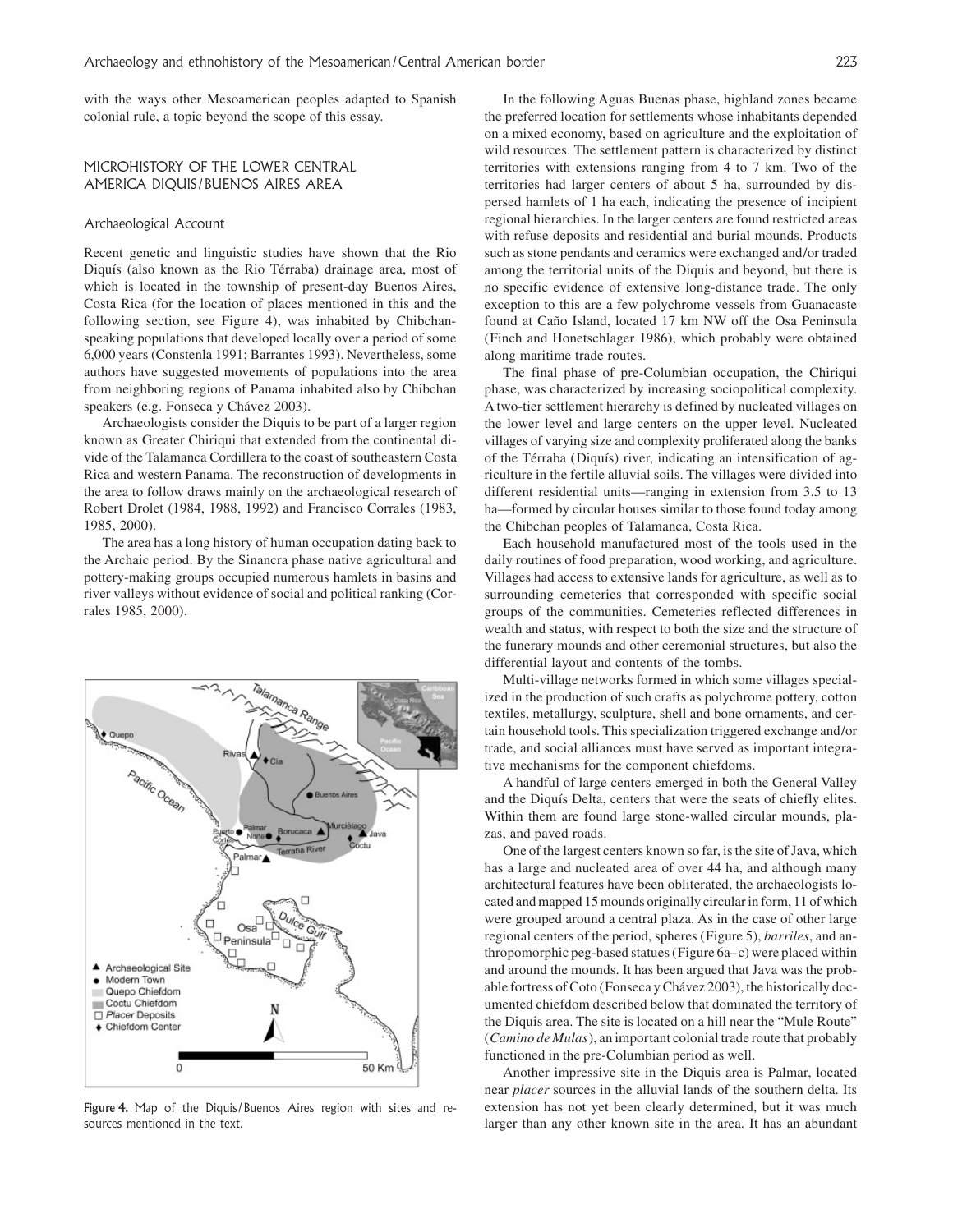with the ways other Mesoamerican peoples adapted to Spanish colonial rule, a topic beyond the scope of this essay.

## MICROHISTORY OF THE LOWER CENTRAL AMERICA DIQUIS/BUENOS AIRES AREA

#### Archaeological Account

Recent genetic and linguistic studies have shown that the Rio Diquís (also known as the Rio Térraba) drainage area, most of which is located in the township of present-day Buenos Aires, Costa Rica (for the location of places mentioned in this and the following section, see Figure 4), was inhabited by Chibchanspeaking populations that developed locally over a period of some 6,000 years (Constenla 1991; Barrantes 1993). Nevertheless, some authors have suggested movements of populations into the area from neighboring regions of Panama inhabited also by Chibchan speakers (e.g. Fonseca y Chávez 2003).

Archaeologists consider the Diquis to be part of a larger region known as Greater Chiriqui that extended from the continental divide of the Talamanca Cordillera to the coast of southeastern Costa Rica and western Panama. The reconstruction of developments in the area to follow draws mainly on the archaeological research of Robert Drolet (1984, 1988, 1992) and Francisco Corrales (1983, 1985, 2000).

The area has a long history of human occupation dating back to the Archaic period. By the Sinancra phase native agricultural and pottery-making groups occupied numerous hamlets in basins and river valleys without evidence of social and political ranking (Corrales 1985, 2000).



Figure 4. Map of the Diquis/Buenos Aires region with sites and resources mentioned in the text.

In the following Aguas Buenas phase, highland zones became the preferred location for settlements whose inhabitants depended on a mixed economy, based on agriculture and the exploitation of wild resources. The settlement pattern is characterized by distinct territories with extensions ranging from 4 to 7 km. Two of the territories had larger centers of about 5 ha, surrounded by dispersed hamlets of 1 ha each, indicating the presence of incipient regional hierarchies. In the larger centers are found restricted areas with refuse deposits and residential and burial mounds. Products such as stone pendants and ceramics were exchanged and/or traded among the territorial units of the Diquis and beyond, but there is no specific evidence of extensive long-distance trade. The only exception to this are a few polychrome vessels from Guanacaste found at Caño Island, located 17 km NW off the Osa Peninsula (Finch and Honetschlager 1986), which probably were obtained along maritime trade routes.

The final phase of pre-Columbian occupation, the Chiriqui phase, was characterized by increasing sociopolitical complexity. A two-tier settlement hierarchy is defined by nucleated villages on the lower level and large centers on the upper level. Nucleated villages of varying size and complexity proliferated along the banks of the Térraba (Diquís) river, indicating an intensification of agriculture in the fertile alluvial soils. The villages were divided into different residential units—ranging in extension from 3.5 to 13 ha—formed by circular houses similar to those found today among the Chibchan peoples of Talamanca, Costa Rica.

Each household manufactured most of the tools used in the daily routines of food preparation, wood working, and agriculture. Villages had access to extensive lands for agriculture, as well as to surrounding cemeteries that corresponded with specific social groups of the communities. Cemeteries reflected differences in wealth and status, with respect to both the size and the structure of the funerary mounds and other ceremonial structures, but also the differential layout and contents of the tombs.

Multi-village networks formed in which some villages specialized in the production of such crafts as polychrome pottery, cotton textiles, metallurgy, sculpture, shell and bone ornaments, and certain household tools. This specialization triggered exchange and/or trade, and social alliances must have served as important integrative mechanisms for the component chiefdoms.

A handful of large centers emerged in both the General Valley and the Diquís Delta, centers that were the seats of chiefly elites. Within them are found large stone-walled circular mounds, plazas, and paved roads.

One of the largest centers known so far, is the site of Java, which has a large and nucleated area of over 44 ha, and although many architectural features have been obliterated, the archaeologists located and mapped 15 mounds originally circular in form, 11 of which were grouped around a central plaza. As in the case of other large regional centers of the period, spheres (Figure 5), *barriles*, and anthropomorphic peg-based statues (Figure 6a–c) were placed within and around the mounds. It has been argued that Java was the probable fortress of Coto (Fonseca y Chávez 2003), the historically documented chiefdom described below that dominated the territory of the Diquis area. The site is located on a hill near the "Mule Route" (*Camino de Mulas*), an important colonial trade route that probably functioned in the pre-Columbian period as well.

Another impressive site in the Diquis area is Palmar, located near *placer* sources in the alluvial lands of the southern delta. Its extension has not yet been clearly determined, but it was much larger than any other known site in the area. It has an abundant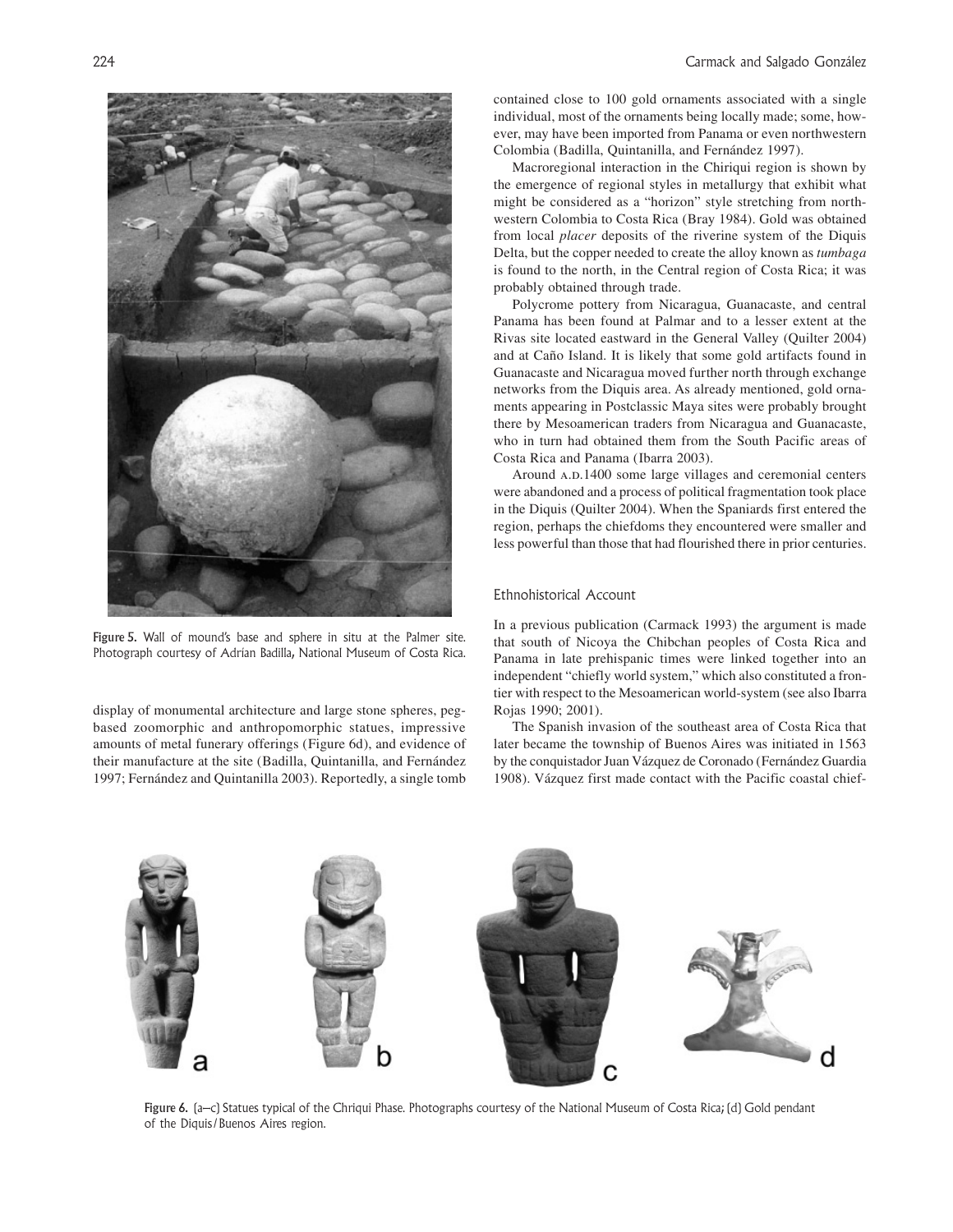

Figure 5. Wall of mound's base and sphere in situ at the Palmer site. Photograph courtesy of Adrían Badilla, National Museum of Costa Rica.

display of monumental architecture and large stone spheres, pegbased zoomorphic and anthropomorphic statues, impressive amounts of metal funerary offerings (Figure 6d), and evidence of their manufacture at the site (Badilla, Quintanilla, and Fernández 1997; Fernández and Quintanilla 2003). Reportedly, a single tomb

contained close to 100 gold ornaments associated with a single individual, most of the ornaments being locally made; some, however, may have been imported from Panama or even northwestern Colombia (Badilla, Quintanilla, and Fernández 1997).

Macroregional interaction in the Chiriqui region is shown by the emergence of regional styles in metallurgy that exhibit what might be considered as a "horizon" style stretching from northwestern Colombia to Costa Rica (Bray 1984). Gold was obtained from local *placer* deposits of the riverine system of the Diquis Delta, but the copper needed to create the alloy known as *tumbaga* is found to the north, in the Central region of Costa Rica; it was probably obtained through trade.

Polycrome pottery from Nicaragua, Guanacaste, and central Panama has been found at Palmar and to a lesser extent at the Rivas site located eastward in the General Valley (Quilter 2004) and at Caño Island. It is likely that some gold artifacts found in Guanacaste and Nicaragua moved further north through exchange networks from the Diquis area. As already mentioned, gold ornaments appearing in Postclassic Maya sites were probably brought there by Mesoamerican traders from Nicaragua and Guanacaste, who in turn had obtained them from the South Pacific areas of Costa Rica and Panama (Ibarra 2003).

Around A.D.1400 some large villages and ceremonial centers were abandoned and a process of political fragmentation took place in the Diquis (Quilter 2004). When the Spaniards first entered the region, perhaps the chiefdoms they encountered were smaller and less powerful than those that had flourished there in prior centuries.

#### Ethnohistorical Account

In a previous publication (Carmack 1993) the argument is made that south of Nicoya the Chibchan peoples of Costa Rica and Panama in late prehispanic times were linked together into an independent "chiefly world system," which also constituted a frontier with respect to the Mesoamerican world-system (see also Ibarra Rojas 1990; 2001).

The Spanish invasion of the southeast area of Costa Rica that later became the township of Buenos Aires was initiated in 1563 by the conquistador Juan Vázquez de Coronado (Fernández Guardia 1908). Vázquez first made contact with the Pacific coastal chief-



Figure 6. (a–c) Statues typical of the Chriqui Phase. Photographs courtesy of the National Museum of Costa Rica; (d) Gold pendant of the Diquis/Buenos Aires region.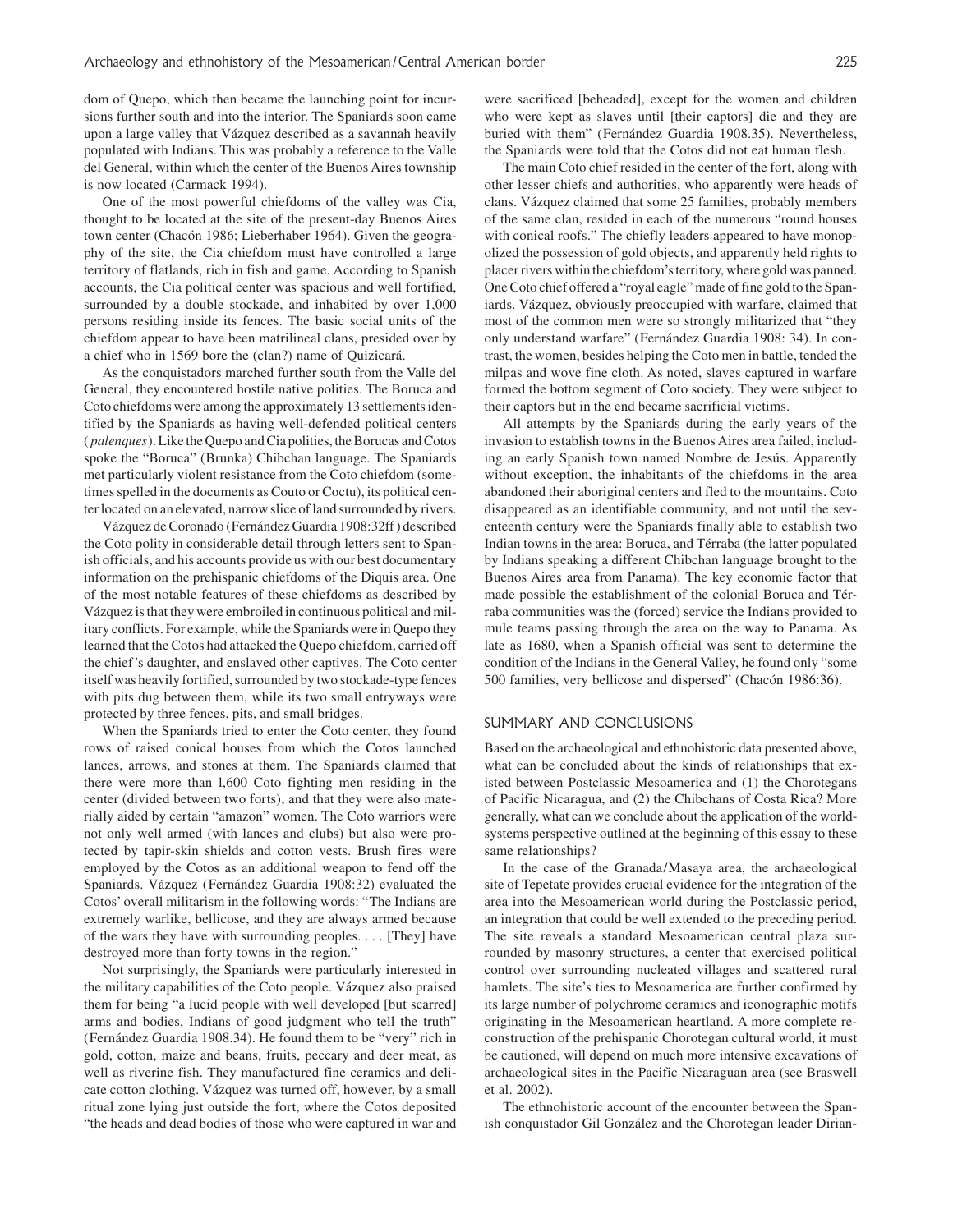dom of Quepo, which then became the launching point for incursions further south and into the interior. The Spaniards soon came upon a large valley that Vázquez described as a savannah heavily populated with Indians. This was probably a reference to the Valle del General, within which the center of the Buenos Aires township is now located (Carmack 1994).

One of the most powerful chiefdoms of the valley was Cia, thought to be located at the site of the present-day Buenos Aires town center (Chacón 1986; Lieberhaber 1964). Given the geography of the site, the Cia chiefdom must have controlled a large territory of flatlands, rich in fish and game. According to Spanish accounts, the Cia political center was spacious and well fortified, surrounded by a double stockade, and inhabited by over 1,000 persons residing inside its fences. The basic social units of the chiefdom appear to have been matrilineal clans, presided over by a chief who in 1569 bore the (clan?) name of Quizicará.

As the conquistadors marched further south from the Valle del General, they encountered hostile native polities. The Boruca and Coto chiefdoms were among the approximately 13 settlements identified by the Spaniards as having well-defended political centers ( *palenques*). Like the Quepo and Cia polities, the Borucas and Cotos spoke the "Boruca" (Brunka) Chibchan language. The Spaniards met particularly violent resistance from the Coto chiefdom (sometimes spelled in the documents as Couto or Coctu), its political center located on an elevated, narrow slice of land surrounded by rivers.

Vázquez de Coronado (Fernández Guardia 1908:32ff ) described the Coto polity in considerable detail through letters sent to Spanish officials, and his accounts provide us with our best documentary information on the prehispanic chiefdoms of the Diquis area. One of the most notable features of these chiefdoms as described by Vázquez is that they were embroiled in continuous political and military conflicts. For example, while the Spaniards were in Quepo they learned that the Cotos had attacked the Quepo chiefdom, carried off the chief 's daughter, and enslaved other captives. The Coto center itself was heavily fortified, surrounded by two stockade-type fences with pits dug between them, while its two small entryways were protected by three fences, pits, and small bridges.

When the Spaniards tried to enter the Coto center, they found rows of raised conical houses from which the Cotos launched lances, arrows, and stones at them. The Spaniards claimed that there were more than l,600 Coto fighting men residing in the center (divided between two forts), and that they were also materially aided by certain "amazon" women. The Coto warriors were not only well armed (with lances and clubs) but also were protected by tapir-skin shields and cotton vests. Brush fires were employed by the Cotos as an additional weapon to fend off the Spaniards. Vázquez (Fernández Guardia 1908:32) evaluated the Cotos' overall militarism in the following words: "The Indians are extremely warlike, bellicose, and they are always armed because of the wars they have with surrounding peoples. . . . [They] have destroyed more than forty towns in the region."

Not surprisingly, the Spaniards were particularly interested in the military capabilities of the Coto people. Vázquez also praised them for being "a lucid people with well developed [but scarred] arms and bodies, Indians of good judgment who tell the truth" (Fernández Guardia 1908.34). He found them to be "very" rich in gold, cotton, maize and beans, fruits, peccary and deer meat, as well as riverine fish. They manufactured fine ceramics and delicate cotton clothing. Vázquez was turned off, however, by a small ritual zone lying just outside the fort, where the Cotos deposited "the heads and dead bodies of those who were captured in war and were sacrificed [beheaded], except for the women and children who were kept as slaves until [their captors] die and they are buried with them" (Fernández Guardia 1908.35). Nevertheless, the Spaniards were told that the Cotos did not eat human flesh.

The main Coto chief resided in the center of the fort, along with other lesser chiefs and authorities, who apparently were heads of clans. Vázquez claimed that some 25 families, probably members of the same clan, resided in each of the numerous "round houses with conical roofs." The chiefly leaders appeared to have monopolized the possession of gold objects, and apparently held rights to placer rivers within the chiefdom's territory, where gold was panned. One Coto chief offered a "royal eagle" made of fine gold to the Spaniards. Vázquez, obviously preoccupied with warfare, claimed that most of the common men were so strongly militarized that "they only understand warfare" (Fernández Guardia 1908: 34). In contrast, the women, besides helping the Coto men in battle, tended the milpas and wove fine cloth. As noted, slaves captured in warfare formed the bottom segment of Coto society. They were subject to their captors but in the end became sacrificial victims.

All attempts by the Spaniards during the early years of the invasion to establish towns in the Buenos Aires area failed, including an early Spanish town named Nombre de Jesús. Apparently without exception, the inhabitants of the chiefdoms in the area abandoned their aboriginal centers and fled to the mountains. Coto disappeared as an identifiable community, and not until the seventeenth century were the Spaniards finally able to establish two Indian towns in the area: Boruca, and Térraba (the latter populated by Indians speaking a different Chibchan language brought to the Buenos Aires area from Panama). The key economic factor that made possible the establishment of the colonial Boruca and Térraba communities was the (forced) service the Indians provided to mule teams passing through the area on the way to Panama. As late as 1680, when a Spanish official was sent to determine the condition of the Indians in the General Valley, he found only "some 500 families, very bellicose and dispersed" (Chacón 1986:36).

# SUMMARY AND CONCLUSIONS

Based on the archaeological and ethnohistoric data presented above, what can be concluded about the kinds of relationships that existed between Postclassic Mesoamerica and (1) the Chorotegans of Pacific Nicaragua, and (2) the Chibchans of Costa Rica? More generally, what can we conclude about the application of the worldsystems perspective outlined at the beginning of this essay to these same relationships?

In the case of the Granada/Masaya area, the archaeological site of Tepetate provides crucial evidence for the integration of the area into the Mesoamerican world during the Postclassic period, an integration that could be well extended to the preceding period. The site reveals a standard Mesoamerican central plaza surrounded by masonry structures, a center that exercised political control over surrounding nucleated villages and scattered rural hamlets. The site's ties to Mesoamerica are further confirmed by its large number of polychrome ceramics and iconographic motifs originating in the Mesoamerican heartland. A more complete reconstruction of the prehispanic Chorotegan cultural world, it must be cautioned, will depend on much more intensive excavations of archaeological sites in the Pacific Nicaraguan area (see Braswell et al. 2002).

The ethnohistoric account of the encounter between the Spanish conquistador Gil González and the Chorotegan leader Dirian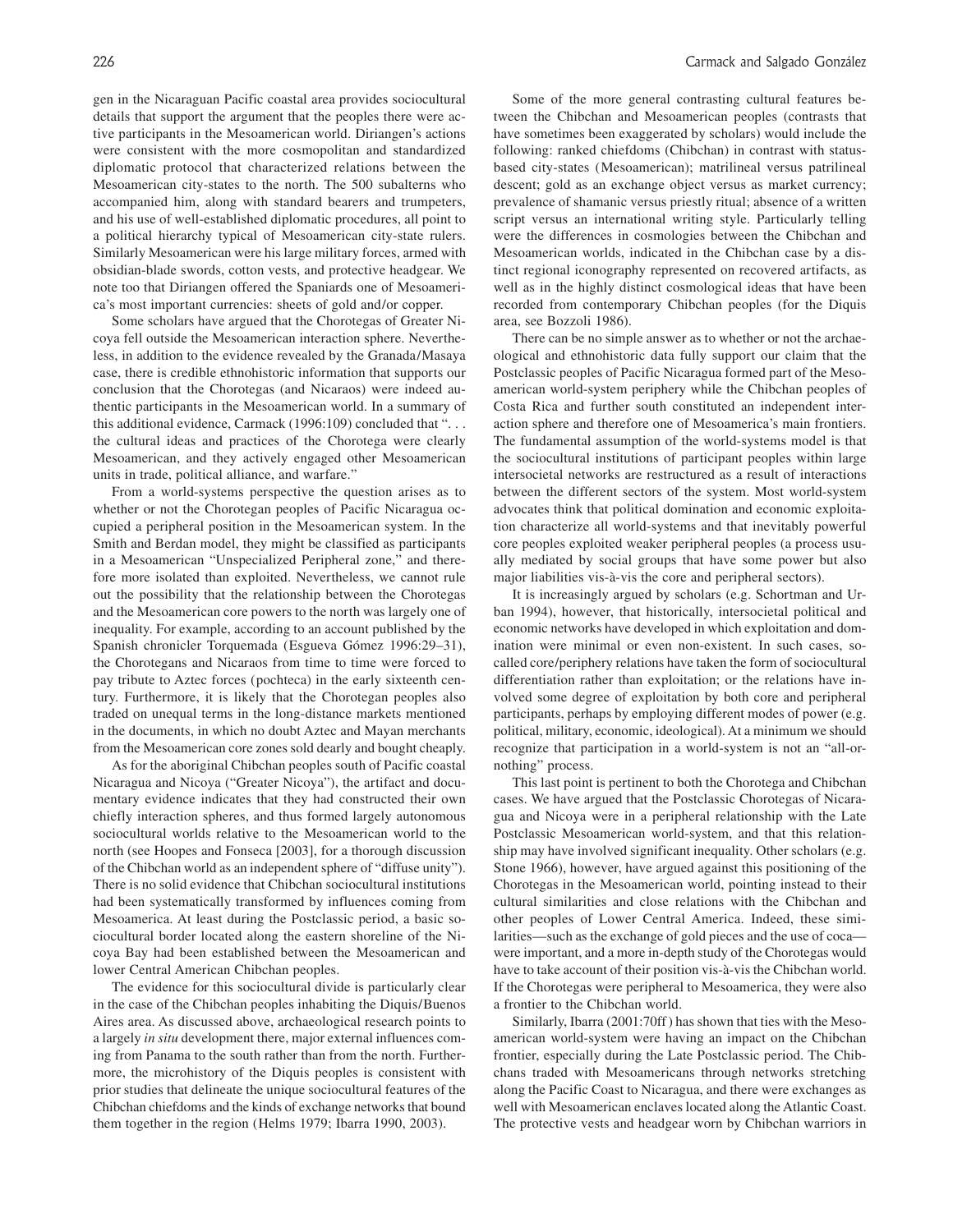gen in the Nicaraguan Pacific coastal area provides sociocultural details that support the argument that the peoples there were active participants in the Mesoamerican world. Diriangen's actions were consistent with the more cosmopolitan and standardized diplomatic protocol that characterized relations between the Mesoamerican city-states to the north. The 500 subalterns who accompanied him, along with standard bearers and trumpeters, and his use of well-established diplomatic procedures, all point to a political hierarchy typical of Mesoamerican city-state rulers. Similarly Mesoamerican were his large military forces, armed with obsidian-blade swords, cotton vests, and protective headgear. We note too that Diriangen offered the Spaniards one of Mesoamerica's most important currencies: sheets of gold and/or copper.

Some scholars have argued that the Chorotegas of Greater Nicoya fell outside the Mesoamerican interaction sphere. Nevertheless, in addition to the evidence revealed by the Granada/Masaya case, there is credible ethnohistoric information that supports our conclusion that the Chorotegas (and Nicaraos) were indeed authentic participants in the Mesoamerican world. In a summary of this additional evidence, Carmack (1996:109) concluded that ". . . the cultural ideas and practices of the Chorotega were clearly Mesoamerican, and they actively engaged other Mesoamerican units in trade, political alliance, and warfare."

From a world-systems perspective the question arises as to whether or not the Chorotegan peoples of Pacific Nicaragua occupied a peripheral position in the Mesoamerican system. In the Smith and Berdan model, they might be classified as participants in a Mesoamerican "Unspecialized Peripheral zone," and therefore more isolated than exploited. Nevertheless, we cannot rule out the possibility that the relationship between the Chorotegas and the Mesoamerican core powers to the north was largely one of inequality. For example, according to an account published by the Spanish chronicler Torquemada (Esgueva Gómez 1996:29–31), the Chorotegans and Nicaraos from time to time were forced to pay tribute to Aztec forces (pochteca) in the early sixteenth century. Furthermore, it is likely that the Chorotegan peoples also traded on unequal terms in the long-distance markets mentioned in the documents, in which no doubt Aztec and Mayan merchants from the Mesoamerican core zones sold dearly and bought cheaply.

As for the aboriginal Chibchan peoples south of Pacific coastal Nicaragua and Nicoya ("Greater Nicoya"), the artifact and documentary evidence indicates that they had constructed their own chiefly interaction spheres, and thus formed largely autonomous sociocultural worlds relative to the Mesoamerican world to the north (see Hoopes and Fonseca [2003], for a thorough discussion of the Chibchan world as an independent sphere of "diffuse unity"). There is no solid evidence that Chibchan sociocultural institutions had been systematically transformed by influences coming from Mesoamerica. At least during the Postclassic period, a basic sociocultural border located along the eastern shoreline of the Nicoya Bay had been established between the Mesoamerican and lower Central American Chibchan peoples.

The evidence for this sociocultural divide is particularly clear in the case of the Chibchan peoples inhabiting the Diquis/Buenos Aires area. As discussed above, archaeological research points to a largely *in situ* development there, major external influences coming from Panama to the south rather than from the north. Furthermore, the microhistory of the Diquis peoples is consistent with prior studies that delineate the unique sociocultural features of the Chibchan chiefdoms and the kinds of exchange networks that bound them together in the region (Helms 1979; Ibarra 1990, 2003).

Some of the more general contrasting cultural features between the Chibchan and Mesoamerican peoples (contrasts that have sometimes been exaggerated by scholars) would include the following: ranked chiefdoms (Chibchan) in contrast with statusbased city-states (Mesoamerican); matrilineal versus patrilineal descent; gold as an exchange object versus as market currency; prevalence of shamanic versus priestly ritual; absence of a written script versus an international writing style. Particularly telling were the differences in cosmologies between the Chibchan and Mesoamerican worlds, indicated in the Chibchan case by a distinct regional iconography represented on recovered artifacts, as well as in the highly distinct cosmological ideas that have been recorded from contemporary Chibchan peoples (for the Diquis area, see Bozzoli 1986).

There can be no simple answer as to whether or not the archaeological and ethnohistoric data fully support our claim that the Postclassic peoples of Pacific Nicaragua formed part of the Mesoamerican world-system periphery while the Chibchan peoples of Costa Rica and further south constituted an independent interaction sphere and therefore one of Mesoamerica's main frontiers. The fundamental assumption of the world-systems model is that the sociocultural institutions of participant peoples within large intersocietal networks are restructured as a result of interactions between the different sectors of the system. Most world-system advocates think that political domination and economic exploitation characterize all world-systems and that inevitably powerful core peoples exploited weaker peripheral peoples (a process usually mediated by social groups that have some power but also major liabilities vis-à-vis the core and peripheral sectors).

It is increasingly argued by scholars (e.g. Schortman and Urban 1994), however, that historically, intersocietal political and economic networks have developed in which exploitation and domination were minimal or even non-existent. In such cases, socalled core/periphery relations have taken the form of sociocultural differentiation rather than exploitation; or the relations have involved some degree of exploitation by both core and peripheral participants, perhaps by employing different modes of power (e.g. political, military, economic, ideological). At a minimum we should recognize that participation in a world-system is not an "all-ornothing" process.

This last point is pertinent to both the Chorotega and Chibchan cases. We have argued that the Postclassic Chorotegas of Nicaragua and Nicoya were in a peripheral relationship with the Late Postclassic Mesoamerican world-system, and that this relationship may have involved significant inequality. Other scholars (e.g. Stone 1966), however, have argued against this positioning of the Chorotegas in the Mesoamerican world, pointing instead to their cultural similarities and close relations with the Chibchan and other peoples of Lower Central America. Indeed, these similarities—such as the exchange of gold pieces and the use of coca were important, and a more in-depth study of the Chorotegas would have to take account of their position vis-à-vis the Chibchan world. If the Chorotegas were peripheral to Mesoamerica, they were also a frontier to the Chibchan world.

Similarly, Ibarra (2001:70ff ) has shown that ties with the Mesoamerican world-system were having an impact on the Chibchan frontier, especially during the Late Postclassic period. The Chibchans traded with Mesoamericans through networks stretching along the Pacific Coast to Nicaragua, and there were exchanges as well with Mesoamerican enclaves located along the Atlantic Coast. The protective vests and headgear worn by Chibchan warriors in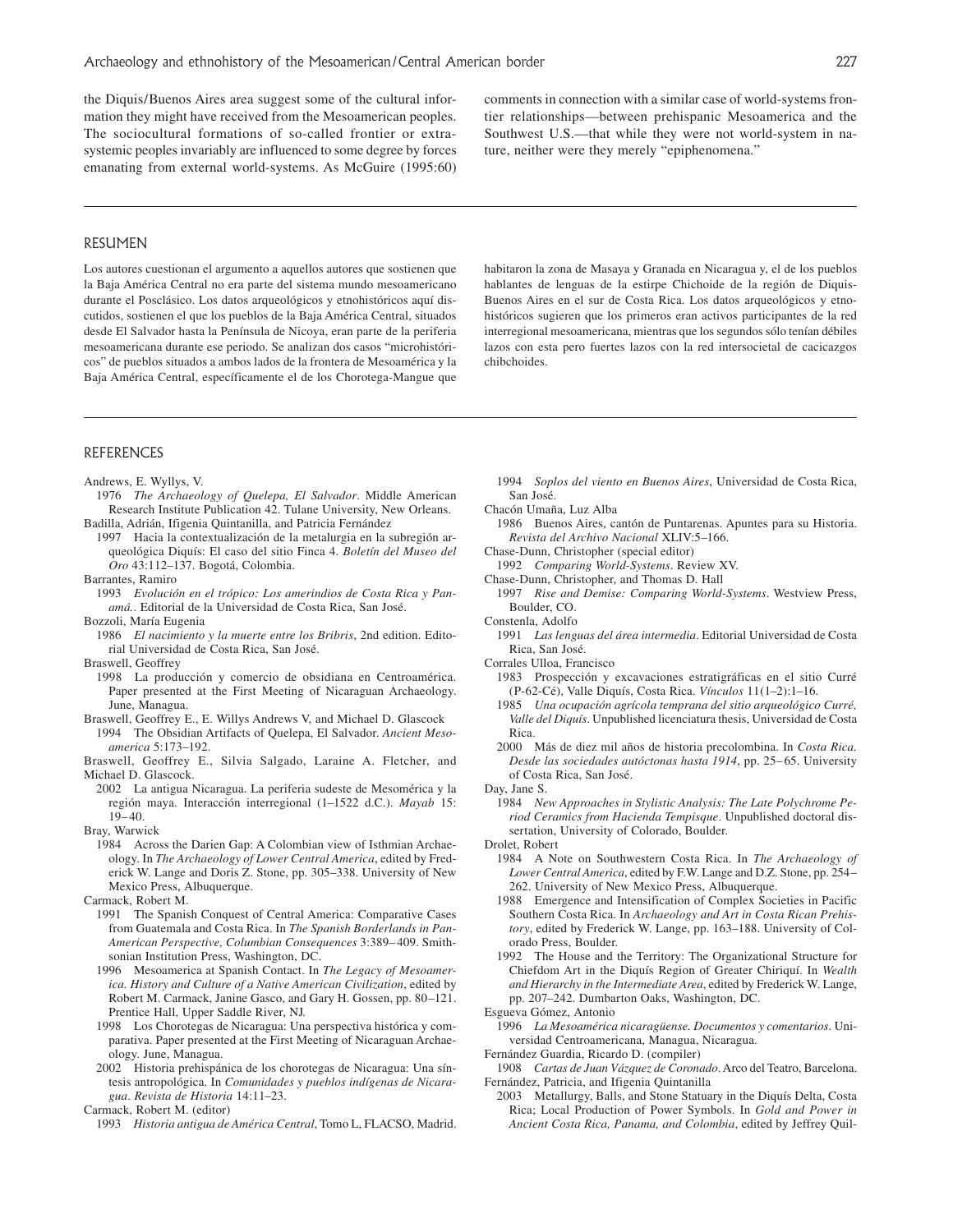the Diquis/Buenos Aires area suggest some of the cultural information they might have received from the Mesoamerican peoples. The sociocultural formations of so-called frontier or extrasystemic peoples invariably are influenced to some degree by forces emanating from external world-systems. As McGuire (1995:60) comments in connection with a similar case of world-systems frontier relationships—between prehispanic Mesoamerica and the Southwest U.S.—that while they were not world-system in nature, neither were they merely "epiphenomena."

# RESUMEN

Los autores cuestionan el argumento a aquellos autores que sostienen que la Baja América Central no era parte del sistema mundo mesoamericano durante el Posclásico. Los datos arqueológicos y etnohistóricos aquí discutidos, sostienen el que los pueblos de la Baja América Central, situados desde El Salvador hasta la Península de Nicoya, eran parte de la periferia mesoamericana durante ese periodo. Se analizan dos casos "microhistóricos" de pueblos situados a ambos lados de la frontera de Mesoamérica y la Baja América Central, específicamente el de los Chorotega-Mangue que habitaron la zona de Masaya y Granada en Nicaragua y, el de los pueblos hablantes de lenguas de la estirpe Chichoide de la región de Diquis-Buenos Aires en el sur de Costa Rica. Los datos arqueológicos y etnohistóricos sugieren que los primeros eran activos participantes de la red interregional mesoamericana, mientras que los segundos sólo tenían débiles lazos con esta pero fuertes lazos con la red intersocietal de cacicazgos chibchoides.

### REFERENCES

Andrews, E. Wyllys, V.

- 1976 *The Archaeology of Quelepa, El Salvador*. Middle American Research Institute Publication 42. Tulane University, New Orleans. Badilla, Adrián, Ifigenia Quintanilla, and Patricia Fernández
- 1997 Hacia la contextualización de la metalurgia en la subregión arqueológica Diquís: El caso del sitio Finca 4. *Boletín del Museo del Oro* 43:112–137. Bogotá, Colombia.
- Barrantes, Ramiro
- 1993 *Evolución en el trópico: Los amerindios de Costa Rica y Panamá.*. Editorial de la Universidad de Costa Rica, San José.
- Bozzoli, María Eugenia
- 1986 *El nacimiento y la muerte entre los Bribris*, 2nd edition. Editorial Universidad de Costa Rica, San José.

Braswell, Geoffrey

- 1998 La producción y comercio de obsidiana en Centroamérica. Paper presented at the First Meeting of Nicaraguan Archaeology. June, Managua.
- Braswell, Geoffrey E., E. Willys Andrews V, and Michael D. Glascock 1994 The Obsidian Artifacts of Quelepa, El Salvador. *Ancient Mesoamerica* 5:173–192.
- Braswell, Geoffrey E., Silvia Salgado, Laraine A. Fletcher, and Michael D. Glascock.
- 2002 La antigua Nicaragua. La periferia sudeste de Mesomérica y la región maya. Interacción interregional (1–1522 d.C.). *Mayab* 15:  $19 - 40.$
- Bray, Warwick
- 1984 Across the Darien Gap: A Colombian view of Isthmian Archaeology. In *The Archaeology of Lower Central America*, edited by Frederick W. Lange and Doris Z. Stone, pp. 305–338. University of New Mexico Press, Albuquerque.
- Carmack, Robert M.
	- 1991 The Spanish Conquest of Central America: Comparative Cases from Guatemala and Costa Rica. In *The Spanish Borderlands in Pan-American Perspective, Columbian Consequences* 3:389– 409. Smithsonian Institution Press, Washington, DC.
	- 1996 Mesoamerica at Spanish Contact. In *The Legacy of Mesoamerica. History and Culture of a Native American Civilization*, edited by Robert M. Carmack, Janine Gasco, and Gary H. Gossen, pp. 80–121. Prentice Hall, Upper Saddle River, NJ.
	- 1998 Los Chorotegas de Nicaragua: Una perspectiva histórica y comparativa. Paper presented at the First Meeting of Nicaraguan Archaeology. June, Managua.
	- 2002 Historia prehispánica de los chorotegas de Nicaragua: Una síntesis antropológica. In *Comunidades y pueblos indígenas de Nicaragua*. *Revista de Historia* 14:11–23.

Carmack, Robert M. (editor)

1993 *Historia antigua de América Central*, Tomo L, FLACSO, Madrid.

1994 *Soplos del viento en Buenos Aires*, Universidad de Costa Rica, San José.

Chacón Umaña, Luz Alba

- 1986 Buenos Aires, cantón de Puntarenas. Apuntes para su Historia. *Revista del Archivo Nacional* XLIV:5–166.
- Chase-Dunn, Christopher (special editor)
- 1992 *Comparing World-Systems*. Review XV.
- Chase-Dunn, Christopher, and Thomas D. Hall
	- 1997 *Rise and Demise: Comparing World-Systems*. Westview Press, Boulder, CO.
- Constenla, Adolfo
- 1991 *Las lenguas del área intermedia*. Editorial Universidad de Costa Rica, San José.

Corrales Ulloa, Francisco

- 1983 Prospección y excavaciones estratigráficas en el sitio Curré (P-62-Cé), Valle Diquís, Costa Rica. *Vínculos* 11(1–2):1–16.
- 1985 *Una ocupación agrícola temprana del sitio arqueológico Curré, Valle del Diquís*. Unpublished licenciatura thesis, Universidad de Costa Rica.
- 2000 Más de diez mil años de historia precolombina. In *Costa Rica. Desde las sociedades autóctonas hasta 1914*, pp. 25-65. University of Costa Rica, San José.

Day, Jane S.

1984 *New Approaches in Stylistic Analysis: The Late Polychrome Period Ceramics from Hacienda Tempisque*. Unpublished doctoral dissertation, University of Colorado, Boulder.

Drolet, Robert

- 1984 A Note on Southwestern Costa Rica. In *The Archaeology of Lower Central America*, edited by F.W. Lange and D.Z. Stone, pp. 254– 262. University of New Mexico Press, Albuquerque.
- 1988 Emergence and Intensification of Complex Societies in Pacific Southern Costa Rica. In *Archaeology and Art in Costa Rican Prehistory*, edited by Frederick W. Lange, pp. 163–188. University of Colorado Press, Boulder.
- 1992 The House and the Territory: The Organizational Structure for Chiefdom Art in the Diquís Region of Greater Chiriquí. In *Wealth and Hierarchy in the Intermediate Area*, edited by Frederick W. Lange, pp. 207–242. Dumbarton Oaks, Washington, DC.

Esgueva Gómez, Antonio

1996 *La Mesoamérica nicaragüense. Documentos y comentarios*. Universidad Centroamericana, Managua, Nicaragua.

Fernández Guardia, Ricardo D. (compiler)

1908 *Cartas de Juan Vázquez de Coronado*. Arco del Teatro, Barcelona. Fernández, Patricia, and Ifigenia Quintanilla

2003 Metallurgy, Balls, and Stone Statuary in the Diquís Delta, Costa Rica; Local Production of Power Symbols. In *Gold and Power in Ancient Costa Rica, Panama, and Colombia*, edited by Jeffrey Quil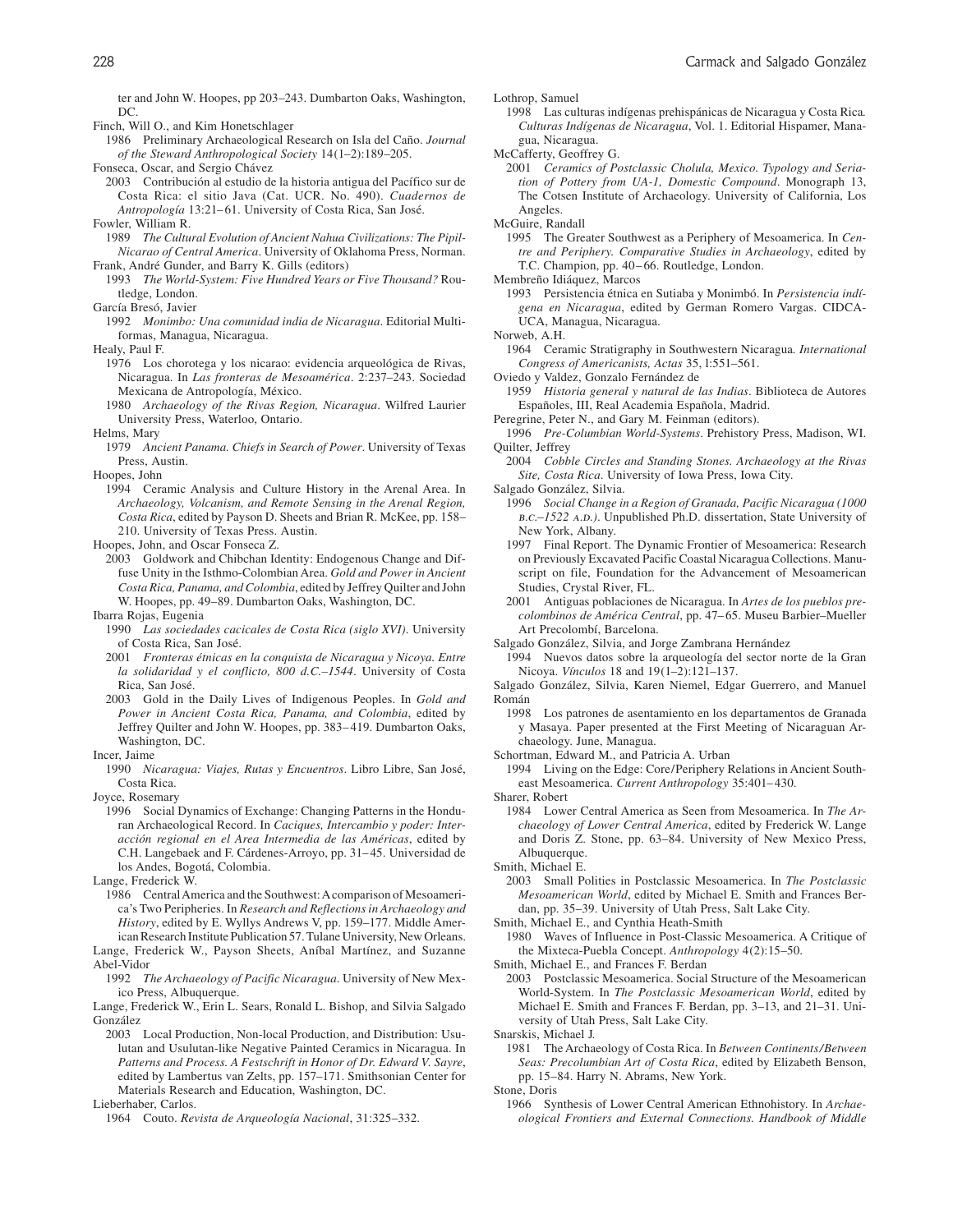ter and John W. Hoopes, pp 203–243. Dumbarton Oaks, Washington, DC.

- Finch, Will O., and Kim Honetschlager
- 1986 Preliminary Archaeological Research on Isla del Caño. *Journal of the Steward Anthropological Society* 14(1–2):189–205.
- Fonseca, Oscar, and Sergio Chávez
	- 2003 Contribución al estudio de la historia antigua del Pacífico sur de Costa Rica: el sitio Java (Cat. UCR. No. 490). *Cuadernos de Antropología* 13:21– 61. University of Costa Rica, San José.

Fowler, William R.

- 1989 *The Cultural Evolution of Ancient Nahua Civilizations: The Pipil-Nicarao of Central America*. University of Oklahoma Press, Norman. Frank, André Gunder, and Barry K. Gills (editors)
- 1993 *The World-System: Five Hundred Years or Five Thousand?* Routledge, London.

1992 *Monimbo: Una comunidad india de Nicaragua*. Editorial Multiformas, Managua, Nicaragua.

Healy, Paul F.

- 1976 Los chorotega y los nicarao: evidencia arqueológica de Rivas, Nicaragua. In *Las fronteras de Mesoamérica*. 2:237–243. Sociedad Mexicana de Antropología, México.
- 1980 *Archaeology of the Rivas Region, Nicaragua*. Wilfred Laurier University Press, Waterloo, Ontario.

Helms, Mary

1979 *Ancient Panama. Chiefs in Search of Power*. University of Texas Press, Austin.

Hoopes, John

1994 Ceramic Analysis and Culture History in the Arenal Area. In *Archaeology, Volcanism, and Remote Sensing in the Arenal Region, Costa Rica*, edited by Payson D. Sheets and Brian R. McKee, pp. 158– 210. University of Texas Press. Austin.

Hoopes, John, and Oscar Fonseca Z.

2003 Goldwork and Chibchan Identity: Endogenous Change and Diffuse Unity in the Isthmo-Colombian Area. *Gold and Power in Ancient Costa Rica, Panama, and Colombia*, edited by Jeffrey Quilter and John W. Hoopes, pp. 49–89. Dumbarton Oaks, Washington, DC.

Ibarra Rojas, Eugenia

- 1990 *Las sociedades cacicales de Costa Rica (siglo XVI)*. University of Costa Rica, San José.
- 2001 *Fronteras étnicas en la conquista de Nicaragua y Nicoya. Entre la solidaridad y el conflicto, 800 d.C.–1544*. University of Costa Rica, San José.
- 2003 Gold in the Daily Lives of Indigenous Peoples. In *Gold and Power in Ancient Costa Rica, Panama, and Colombia*, edited by Jeffrey Quilter and John W. Hoopes, pp. 383– 419. Dumbarton Oaks, Washington, DC.
- Incer, Jaime
	- 1990 *Nicaragua: Viajes, Rutas y Encuentros*. Libro Libre, San José, Costa Rica.

Joyce, Rosemary

1996 Social Dynamics of Exchange: Changing Patterns in the Honduran Archaeological Record. In *Caciques, Intercambio y poder: Interacción regional en el Area Intermedia de las Américas*, edited by C.H. Langebaek and F. Cárdenes-Arroyo, pp. 31– 45. Universidad de los Andes, Bogotá, Colombia.

Lange, Frederick W.

1986 Central America and the Southwest: A comparison of Mesoamerica's Two Peripheries. In *Research and Reflections in Archaeology and History*, edited by E. Wyllys Andrews V, pp. 159–177. Middle American Research Institute Publication 57. Tulane University, New Orleans.

Lange, Frederick W., Payson Sheets, Aníbal Martínez, and Suzanne Abel-Vidor

1992 *The Archaeology of Pacific Nicaragua*. University of New Mexico Press, Albuquerque.

Lange, Frederick W., Erin L. Sears, Ronald L. Bishop, and Silvia Salgado González

2003 Local Production, Non-local Production, and Distribution: Usulutan and Usulutan-like Negative Painted Ceramics in Nicaragua. In *Patterns and Process. A Festschrift in Honor of Dr. Edward V. Sayre*, edited by Lambertus van Zelts, pp. 157–171. Smithsonian Center for Materials Research and Education, Washington, DC.

Lieberhaber, Carlos.

1964 Couto. *Revista de Arqueología Nacional*, 31:325–332.

Lothrop, Samuel

1998 Las culturas indígenas prehispánicas de Nicaragua y Costa Rica*. Culturas Indígenas de Nicaragua*, Vol. 1. Editorial Hispamer, Managua, Nicaragua.

McCafferty, Geoffrey G.

2001 *Ceramics of Postclassic Cholula, Mexico. Typology and Seriation of Pottery from UA-1, Domestic Compound*. Monograph 13, The Cotsen Institute of Archaeology. University of California, Los Angeles.

McGuire, Randall

1995 The Greater Southwest as a Periphery of Mesoamerica. In *Centre and Periphery. Comparative Studies in Archaeology*, edited by T.C. Champion, pp. 40-66. Routledge, London.

Membreño Idiáquez, Marcos

1993 Persistencia étnica en Sutiaba y Monimbó. In *Persistencia indígena en Nicaragua*, edited by German Romero Vargas. CIDCA-UCA, Managua, Nicaragua.

Norweb, A.H.

1964 Ceramic Stratigraphy in Southwestern Nicaragua*. International Congress of Americanists, Actas* 35, l:551–561.

Oviedo y Valdez, Gonzalo Fernández de

1959 *Historia general y natural de las Indias*. Biblioteca de Autores Españoles, III, Real Academia Española, Madrid.

Peregrine, Peter N., and Gary M. Feinman (editors).

- 1996 *Pre-Columbian World-Systems*. Prehistory Press, Madison, WI. Quilter, Jeffrey
- 2004 *Cobble Circles and Standing Stones. Archaeology at the Rivas Site, Costa Rica*. University of Iowa Press, Iowa City.

Salgado González, Silvia.

- 1996 *Social Change in a Region of Granada, Pacific Nicaragua (1000* B.C.–1522 A.D.). Unpublished Ph.D. dissertation, State University of New York, Albany.
- 1997 Final Report. The Dynamic Frontier of Mesoamerica: Research on Previously Excavated Pacific Coastal Nicaragua Collections. Manuscript on file, Foundation for the Advancement of Mesoamerican Studies, Crystal River, FL.
- 2001 Antiguas poblaciones de Nicaragua. In *Artes de los pueblos precolombinos de América Central*, pp. 47– 65. Museu Barbier–Mueller Art Precolombí, Barcelona.

Salgado González, Silvia, and Jorge Zambrana Hernández

1994 Nuevos datos sobre la arqueología del sector norte de la Gran Nicoya. *Vínculos* 18 and 19(1–2):121–137.

Salgado González, Silvia, Karen Niemel, Edgar Guerrero, and Manuel Román

1998 Los patrones de asentamiento en los departamentos de Granada y Masaya. Paper presented at the First Meeting of Nicaraguan Archaeology. June, Managua.

Schortman, Edward M., and Patricia A. Urban

1994 Living on the Edge: Core/Periphery Relations in Ancient Southeast Mesoamerica. *Current Anthropology* 35:401– 430.

Sharer, Robert

1984 Lower Central America as Seen from Mesoamerica. In *The Archaeology of Lower Central America*, edited by Frederick W. Lange and Doris Z. Stone, pp. 63–84. University of New Mexico Press, Albuquerque.

Smith, Michael E.

2003 Small Polities in Postclassic Mesoamerica. In *The Postclassic Mesoamerican World*, edited by Michael E. Smith and Frances Berdan, pp. 35–39. University of Utah Press, Salt Lake City.

Smith, Michael E., and Cynthia Heath-Smith

1980 Waves of Influence in Post-Classic Mesoamerica. A Critique of the Mixteca-Puebla Concept. *Anthropology* 4(2):15–50.

Smith, Michael E., and Frances F. Berdan

2003 Postclassic Mesoamerica. Social Structure of the Mesoamerican World-System. In *The Postclassic Mesoamerican World*, edited by Michael E. Smith and Frances F. Berdan, pp. 3–13, and 21–31. University of Utah Press, Salt Lake City.

Snarskis, Michael J.

1981 The Archaeology of Costa Rica. In *Between Continents/Between Seas: Precolumbian Art of Costa Rica*, edited by Elizabeth Benson, pp. 15–84. Harry N. Abrams, New York.

Stone, Doris

1966 Synthesis of Lower Central American Ethnohistory. In *Archaeological Frontiers and External Connections. Handbook of Middle*

García Bresó, Javier